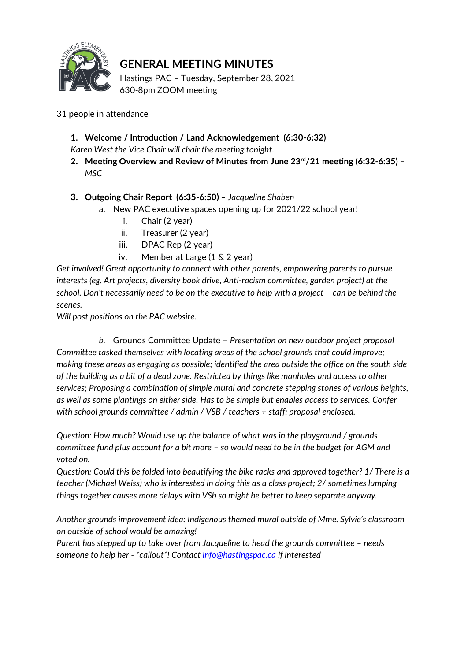

## **GENERAL MEETING MINUTES**

Hastings PAC – Tuesday, September 28, 2021 630-8pm ZOOM meeting

- 31 people in attendance
	- **1. Welcome / Introduction / Land Acknowledgement (6:30-6:32)**
	- *Karen West the Vice Chair will chair the meeting tonight.*
	- **2. Meeting Overview and Review of Minutes from June 23rd/21 meeting (6:32-6:35) –** *MSC*
	- **3. Outgoing Chair Report (6:35-6:50) –** *Jacqueline Shaben*
		- a. New PAC executive spaces opening up for 2021/22 school year!
			- i. Chair (2 year)
			- ii. Treasurer (2 year)
			- iii. DPAC Rep (2 year)
			- iv. Member at Large (1 & 2 year)

*Get involved! Great opportunity to connect with other parents, empowering parents to pursue interests (eg. Art projects, diversity book drive, Anti-racism committee, garden project) at the school. Don't necessarily need to be on the executive to help with a project – can be behind the scenes.*

*Will post positions on the PAC website.*

*b.* Grounds Committee Update – *Presentation on new outdoor project proposal Committee tasked themselves with locating areas of the school grounds that could improve; making these areas as engaging as possible; identified the area outside the office on the south side of the building as a bit of a dead zone. Restricted by things like manholes and access to other services; Proposing a combination of simple mural and concrete stepping stones of various heights, as well as some plantings on either side. Has to be simple but enables access to services. Confer with school grounds committee / admin / VSB / teachers + staff; proposal enclosed.*

*Question: How much? Would use up the balance of what was in the playground / grounds committee fund plus account for a bit more – so would need to be in the budget for AGM and voted on.*

*Question: Could this be folded into beautifying the bike racks and approved together? 1/ There is a teacher (Michael Weiss) who is interested in doing this as a class project; 2/ sometimes lumping things together causes more delays with VSb so might be better to keep separate anyway.* 

*Another grounds improvement idea: Indigenous themed mural outside of Mme. Sylvie's classroom on outside of school would be amazing!*

*Parent has stepped up to take over from Jacqueline to head the grounds committee - needs someone to help her - \*callout\*! Contact [info@hastingspac.ca](mailto:info@hastingspac.ca) if interested*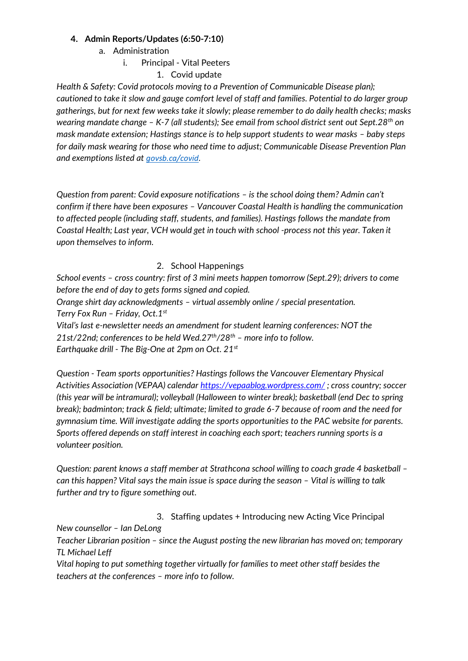#### **4. Admin Reports/Updates (6:50-7:10)**

- a. Administration
	- i. Principal Vital Peeters
		- 1. Covid update

*Health & Safety: Covid protocols moving to a Prevention of Communicable Disease plan); cautioned to take it slow and gauge comfort level of staff and families. Potential to do larger group gatherings, but for next few weeks take it slowly; please remember to do daily health checks; masks wearing mandate change – K-7 (all students); See email from school district sent out Sept.28th on mask mandate extension; Hastings stance is to help support students to wear masks – baby steps for daily mask wearing for those who need time to adjust; Communicable Disease Prevention Plan and exemptions listed at [govsb.ca/covid.](https://www.vsb.bc.ca/COVID-19/updates/Pages/Masks.aspx)* 

*Question from parent: Covid exposure notifications – is the school doing them? Admin can't confirm if there have been exposures – Vancouver Coastal Health is handling the communication to affected people (including staff, students, and families). Hastings follows the mandate from Coastal Health; Last year, VCH would get in touch with school -process not this year. Taken it upon themselves to inform.*

#### 2. School Happenings

*School events – cross country: first of 3 mini meets happen tomorrow (Sept.29); drivers to come before the end of day to gets forms signed and copied.*

*Orange shirt day acknowledgments – virtual assembly online / special presentation. Terry Fox Run – Friday, Oct.1st*

*Vital's last e-newsletter needs an amendment for student learning conferences: NOT the 21st/22nd; conferences to be held Wed.27th/28th – more info to follow. Earthquake drill - The Big-One at 2pm on Oct. 21st*

*Question - Team sports opportunities? Hastings follows the Vancouver Elementary Physical Activities Association (VEPAA) calendar<https://vepaablog.wordpress.com/> ; cross country; soccer (this year will be intramural); volleyball (Halloween to winter break); basketball (end Dec to spring break); badminton; track & field; ultimate; limited to grade 6-7 because of room and the need for gymnasium time. Will investigate adding the sports opportunities to the PAC website for parents. Sports offered depends on staff interest in coaching each sport; teachers running sports is a volunteer position.*

*Question: parent knows a staff member at Strathcona school willing to coach grade 4 basketball – can this happen? Vital says the main issue is space during the season – Vital is willing to talk further and try to figure something out.*

3. Staffing updates + Introducing new Acting Vice Principal

*New counsellor – Ian DeLong*

*Teacher Librarian position – since the August posting the new librarian has moved on; temporary TL Michael Leff*

*Vital hoping to put something together virtually for families to meet other staff besides the teachers at the conferences – more info to follow.*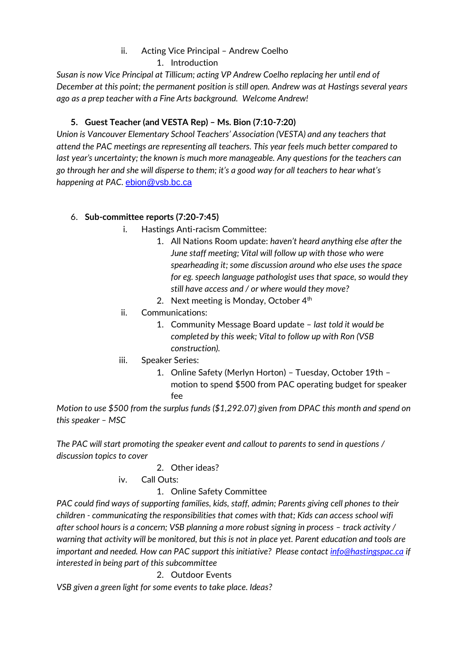# ii. Acting Vice Principal – Andrew Coelho

1. Introduction

*Susan is now Vice Principal at Tillicum; acting VP Andrew Coelho replacing her until end of December at this point; the permanent position is still open. Andrew was at Hastings several years ago as a prep teacher with a Fine Arts background. Welcome Andrew!*

### **5. Guest Teacher (and VESTA Rep) – Ms. Bion (7:10-7:20)**

*Union is Vancouver Elementary School Teachers' Association (VESTA) and any teachers that attend the PAC meetings are representing all teachers. This year feels much better compared to last year's uncertainty; the known is much more manageable. Any questions for the teachers can go through her and she will disperse to them; it's a good way for all teachers to hear what's happening at PAC.* [ebion@vsb.bc.ca](mailto:ebion@vsb.bc.ca)

#### 6. **Sub-committee reports (7:20-7:45)**

- i. Hastings Anti-racism Committee:
	- 1. All Nations Room update: *haven't heard anything else after the June staff meeting; Vital will follow up with those who were spearheading it; some discussion around who else uses the space for eg. speech language pathologist uses that space, so would they still have access and / or where would they move?*
	- 2. Next meeting is Monday, October  $4<sup>th</sup>$
- ii. Communications:
	- 1. Community Message Board update *last told it would be completed by this week; Vital to follow up with Ron (VSB construction).*
- iii. Speaker Series:
	- 1. Online Safety (Merlyn Horton) Tuesday, October 19th motion to spend \$500 from PAC operating budget for speaker fee

*Motion to use \$500 from the surplus funds (\$1,292.07) given from DPAC this month and spend on this speaker – MSC*

*The PAC will start promoting the speaker event and callout to parents to send in questions / discussion topics to cover*

## 2. Other ideas?

iv. Call Outs:

## 1. Online Safety Committee

*PAC could find ways of supporting families, kids, staff, admin; Parents giving cell phones to their children - communicating the responsibilities that comes with that; Kids can access school wifi after school hours is a concern; VSB planning a more robust signing in process – track activity / warning that activity will be monitored, but this is not in place yet. Parent education and tools are important and needed. How can PAC support this initiative? Please contact [info@hastingspac.ca](mailto:info@hastingspac.ca) if interested in being part of this subcommittee* 

2. Outdoor Events

*VSB given a green light for some events to take place. Ideas?*